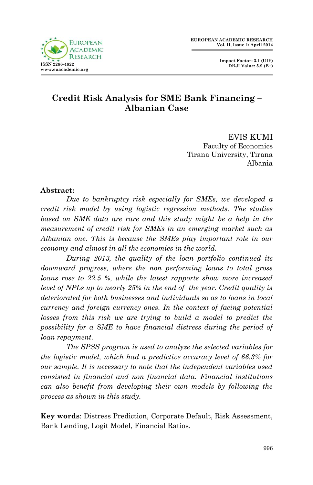



## **Credit Risk Analysis for SME Bank Financing – Albanian Case**

EVIS KUMI Faculty of Economics Tirana University, Tirana Albania

#### **Abstract:**

*Due to bankruptcy risk especially for SMEs, we developed a credit risk model by using logistic regression methods. The studies*  based on SME data are rare and this study might be a help in the *measurement of credit risk for SMEs in an emerging market such as Albanian one. This is because the SMEs play important role in our economy and almost in all the economies in the world.* 

*During 2013, the quality of the loan portfolio continued its downward progress, where the non performing loans to total gross loans rose to 22.5 %, while the latest rapports show more increased level of NPLs up to nearly 25% in the end of the year. Credit quality is deteriorated for both businesses and individuals so as to loans in local currency and foreign currency ones. In the context of facing potential losses from this risk we are trying to build a model to predict the possibility for a SME to have financial distress during the period of loan repayment.* 

*The SPSS program is used to analyze the selected variables for the logistic model, which had a predictive accuracy level of 66.3% for our sample. It is necessary to note that the independent variables used consisted in financial and non financial data. Financial institutions can also benefit from developing their own models by following the process as shown in this study.*

**Key words**: Distress Prediction, Corporate Default, Risk Assessment, Bank Lending, Logit Model, Financial Ratios.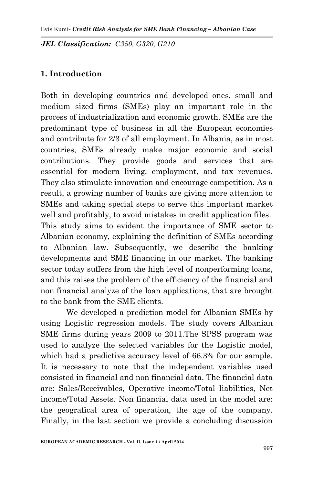*JEL Classification: C350, G320, G210*

### **1. Introduction**

Both in developing countries and developed ones, small and medium sized firms (SMEs) play an important role in the process of industrialization and economic growth. SMEs are the predominant type of business in all the European economies and contribute for 2/3 of all employment. In Albania, as in most countries, SMEs already make major economic and social contributions. They provide goods and services that are essential for modern living, employment, and tax revenues. They also stimulate innovation and encourage competition. As a result, a growing number of banks are giving more attention to SMEs and taking special steps to serve this important market well and profitably, to avoid mistakes in credit application files. This study aims to evident the importance of SME sector to Albanian economy, explaining the definition of SMEs according to Albanian law. Subsequently, we describe the banking developments and SME financing in our market. The banking sector today suffers from the high level of nonperforming loans, and this raises the problem of the efficiency of the financial and non financial analyze of the loan applications, that are brought to the bank from the SME clients.

We developed a prediction model for Albanian SMEs by using Logistic regression models. The study covers Albanian SME firms during years 2009 to 2011.The SPSS program was used to analyze the selected variables for the Logistic model, which had a predictive accuracy level of 66.3% for our sample. It is necessary to note that the independent variables used consisted in financial and non financial data. The financial data are: Sales/Receivables, Operative income/Total liabilities, Net income/Total Assets. Non financial data used in the model are: the geografical area of operation, the age of the company. Finally, in the last section we provide a concluding discussion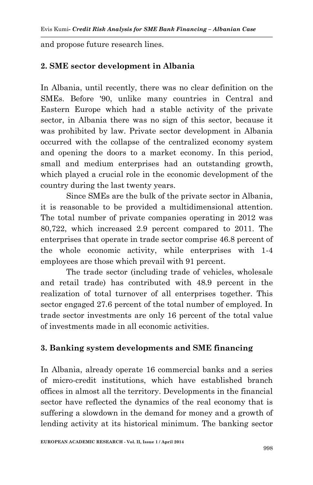and propose future research lines.

## **2. SME sector development in Albania**

In Albania, until recently, there was no clear definition on the SMEs. Before '90, unlike many countries in Central and Eastern Europe which had a stable activity of the private sector, in Albania there was no sign of this sector, because it was prohibited by law. Private sector development in Albania occurred with the collapse of the centralized economy system and opening the doors to a market economy. In this period, small and medium enterprises had an outstanding growth, which played a crucial role in the economic development of the country during the last twenty years.

Since SMEs are the bulk of the private sector in Albania, it is reasonable to be provided a multidimensional attention. The total number of private companies operating in 2012 was 80,722, which increased 2.9 percent compared to 2011. The enterprises that operate in trade sector comprise 46.8 percent of the whole economic activity, while enterprises with 1-4 employees are those which prevail with 91 percent.

The trade sector (including trade of vehicles, wholesale and retail trade) has contributed with 48.9 percent in the realization of total turnover of all enterprises together. This sector engaged 27.6 percent of the total number of employed. In trade sector investments are only 16 percent of the total value of investments made in all economic activities.

## **3. Banking system developments and SME financing**

In Albania, already operate 16 commercial banks and a series of micro-credit institutions, which have established branch offices in almost all the territory. Developments in the financial sector have reflected the dynamics of the real economy that is suffering a slowdown in the demand for money and a growth of lending activity at its historical minimum. The banking sector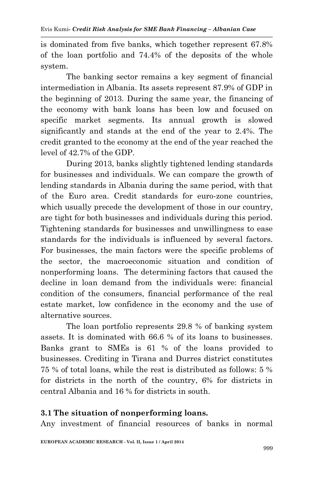is dominated from five banks, which together represent 67.8% of the loan portfolio and 74.4% of the deposits of the whole system.

The banking sector remains a key segment of financial intermediation in Albania. Its assets represent 87.9% of GDP in the beginning of 2013. During the same year, the financing of the economy with bank loans has been low and focused on specific market segments. Its annual growth is slowed significantly and stands at the end of the year to 2.4%. The credit granted to the economy at the end of the year reached the level of 42.7% of the GDP.

During 2013, banks slightly tightened lending standards for businesses and individuals. We can compare the growth of lending standards in Albania during the same period, with that of the Euro area. Credit standards for euro-zone countries, which usually precede the development of those in our country, are tight for both businesses and individuals during this period. Tightening standards for businesses and unwillingness to ease standards for the individuals is influenced by several factors. For businesses, the main factors were the specific problems of the sector, the macroeconomic situation and condition of nonperforming loans. The determining factors that caused the decline in loan demand from the individuals were: financial condition of the consumers, financial performance of the real estate market, low confidence in the economy and the use of alternative sources.

The loan portfolio represents 29.8 % of banking system assets. It is dominated with 66.6 % of its loans to businesses. Banks grant to SMEs is 61 % of the loans provided to businesses. Crediting in Tirana and Durres district constitutes 75 % of total loans, while the rest is distributed as follows: 5 % for districts in the north of the country, 6% for districts in central Albania and 16 % for districts in south.

### **3.1 The situation of nonperforming loans.**

Any investment of financial resources of banks in normal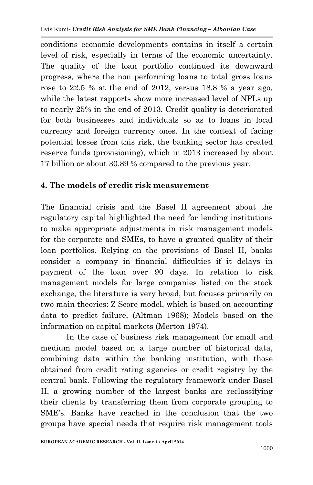conditions economic developments contains in itself a certain level of risk, especially in terms of the economic uncertainty. The quality of the loan portfolio continued its downward progress, where the non performing loans to total gross loans rose to 22.5 % at the end of 2012, versus 18.8 % a year ago, while the latest rapports show more increased level of NPLs up to nearly 25% in the end of 2013. Credit quality is deteriorated for both businesses and individuals so as to loans in local currency and foreign currency ones. In the context of facing potential losses from this risk, the banking sector has created reserve funds (provisioning), which in 2013 increased by about 17 billion or about 30.89 % compared to the previous year.

## **4. The models of credit risk measurement**

The financial crisis and the Basel II agreement about the regulatory capital highlighted the need for lending institutions to make appropriate adjustments in risk management models for the corporate and SMEs, to have a granted quality of their loan portfolios. Relying on the provisions of Basel II, banks consider a company in financial difficulties if it delays in payment of the loan over 90 days. In relation to risk management models for large companies listed on the stock exchange, the literature is very broad, but focuses primarily on two main theories: Z Score model, which is based on accounting data to predict failure, (Altman 1968); Models based on the information on capital markets (Merton 1974).

In the case of business risk management for small and medium model based on a large number of historical data, combining data within the banking institution, with those obtained from credit rating agencies or credit registry by the central bank. Following the regulatory framework under Basel II, a growing number of the largest banks are reclassifying their clients by transferring them from corporate grouping to SME's. Banks have reached in the conclusion that the two groups have special needs that require risk management tools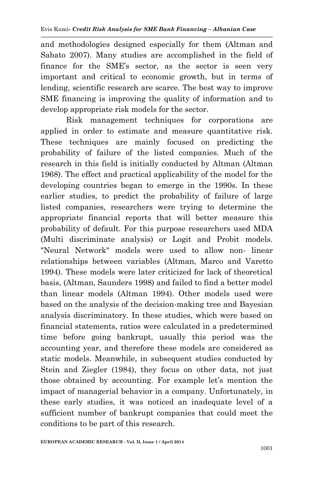and methodologies designed especially for them (Altman and Sabato 2007). Many studies are accomplished in the field of finance for the SME's sector, as the sector is seen very important and critical to economic growth, but in terms of lending, scientific research are scarce. The best way to improve SME financing is improving the quality of information and to develop appropriate risk models for the sector.

Risk management techniques for corporations are applied in order to estimate and measure quantitative risk. These techniques are mainly focused on predicting the probability of failure of the listed companies. Much of the research in this field is initially conducted by Altman (Altman 1968). The effect and practical applicability of the model for the developing countries began to emerge in the 1990s. In these earlier studies, to predict the probability of failure of large listed companies, researchers were trying to determine the appropriate financial reports that will better measure this probability of default. For this purpose researchers used MDA (Multi discriminate analysis) or Logit and Probit models. "Neural Network" models were used to allow non- linear relationships between variables (Altman, Marco and Varetto 1994). These models were later criticized for lack of theoretical basis, (Altman, Saunders 1998) and failed to find a better model than linear models (Altman 1994). Other models used were based on the analysis of the decision-making tree and Bayesian analysis discriminatory. In these studies, which were based on financial statements, ratios were calculated in a predetermined time before going bankrupt, usually this period was the accounting year, and therefore these models are considered as static models. Meanwhile, in subsequent studies conducted by Stein and Ziegler (1984), they focus on other data, not just those obtained by accounting. For example let's mention the impact of managerial behavior in a company. Unfortunately, in these early studies, it was noticed an inadequate level of a sufficient number of bankrupt companies that could meet the conditions to be part of this research.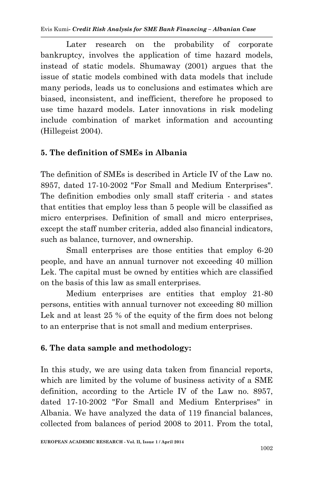Later research on the probability of corporate bankruptcy, involves the application of time hazard models, instead of static models. Shumaway (2001) argues that the issue of static models combined with data models that include many periods, leads us to conclusions and estimates which are biased, inconsistent, and inefficient, therefore he proposed to use time hazard models. Later innovations in risk modeling include combination of market information and accounting (Hillegeist 2004).

## **5. The definition of SMEs in Albania**

The definition of SMEs is described in Article IV of the Law no. 8957, dated 17-10-2002 "For Small and Medium Enterprises". The definition embodies only small staff criteria - and states that entities that employ less than 5 people will be classified as micro enterprises. Definition of small and micro enterprises, except the staff number criteria, added also financial indicators, such as balance, turnover, and ownership.

Small enterprises are those entities that employ 6-20 people, and have an annual turnover not exceeding 40 million Lek. The capital must be owned by entities which are classified on the basis of this law as small enterprises.

Medium enterprises are entities that employ 21-80 persons, entities with annual turnover not exceeding 80 million Lek and at least 25 % of the equity of the firm does not belong to an enterprise that is not small and medium enterprises.

# **6. The data sample and methodology:**

In this study, we are using data taken from financial reports, which are limited by the volume of business activity of a SME definition, according to the Article IV of the Law no. 8957, dated 17-10-2002 "For Small and Medium Enterprises" in Albania. We have analyzed the data of 119 financial balances, collected from balances of period 2008 to 2011. From the total,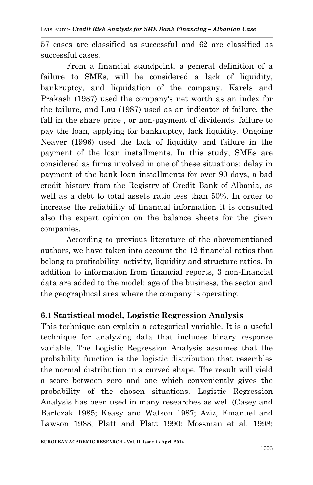57 cases are classified as successful and 62 are classified as successful cases.

From a financial standpoint, a general definition of a failure to SMEs, will be considered a lack of liquidity, bankruptcy, and liquidation of the company. Karels and Prakash (1987) used the company's net worth as an index for the failure, and Lau (1987) used as an indicator of failure, the fall in the share price , or non-payment of dividends, failure to pay the loan, applying for bankruptcy, lack liquidity. Ongoing Neaver (1996) used the lack of liquidity and failure in the payment of the loan installments. In this study, SMEs are considered as firms involved in one of these situations: delay in payment of the bank loan installments for over 90 days, a bad credit history from the Registry of Credit Bank of Albania, as well as a debt to total assets ratio less than 50%. In order to increase the reliability of financial information it is consulted also the expert opinion on the balance sheets for the given companies.

According to previous literature of the abovementioned authors, we have taken into account the 12 financial ratios that belong to profitability, activity, liquidity and structure ratios. In addition to information from financial reports, 3 non-financial data are added to the model: age of the business, the sector and the geographical area where the company is operating.

### **6.1 Statistical model, Logistic Regression Analysis**

This technique can explain a categorical variable. It is a useful technique for analyzing data that includes binary response variable. The Logistic Regression Analysis assumes that the probability function is the logistic distribution that resembles the normal distribution in a curved shape. The result will yield a score between zero and one which conveniently gives the probability of the chosen situations. Logistic Regression Analysis has been used in many researches as well (Casey and Bartczak 1985; Keasy and Watson 1987; Aziz, Emanuel and Lawson 1988; Platt and Platt 1990; Mossman et al. 1998;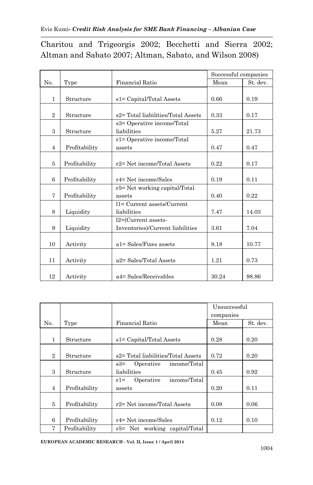Charitou and Trigeorgis 2002; Becchetti and Sierra 2002; Altman and Sabato 2007; Altman, Sabato, and Wilson 2008)

|                |               |                                    | Successful companies |          |
|----------------|---------------|------------------------------------|----------------------|----------|
| N <sub>0</sub> | Type          | <b>Financial Ratio</b>             | Mean                 | St. dev. |
|                |               |                                    |                      |          |
| 1              | Structure     | s1= Capital/Total Assets           | 0.66                 | 0.19     |
|                |               |                                    |                      |          |
| $\overline{2}$ | Structure     | s2= Total liabilities/Total Assets | 0.33                 | 0.17     |
|                |               | s3= Operative income/Total         |                      |          |
| 3              | Structure     | liabilities                        | 5.27                 | 21.73    |
|                |               | r1= Operative income/Total         |                      |          |
| $\overline{4}$ | Profitability | assets                             | 0.47                 | 0.47     |
|                |               |                                    |                      |          |
| 5              | Profitability | r2= Net income/Total Assets        | 0.22                 | 0.17     |
|                |               |                                    |                      |          |
| 6              | Profitability | r4= Net income/Sales               | 0.19                 | 0.11     |
|                |               | r5= Net working capital/Total      |                      |          |
| 7              | Profitability | assets                             | 0.40                 | 0.22     |
|                |               | $11 =$ Current assets/Current      |                      |          |
| 8              | Liquidity     | liabilities                        | 7.47                 | 14.03    |
|                |               | l2=(Current assets-                |                      |          |
| 9              | Liquidity     | Inventories)/Current liabilities   | 3.61                 | 7.04     |
|                |               |                                    |                      |          |
| 10             | Activity      | $a1 = Sales/Fixes$ assets          | 8.18                 | 10.77    |
|                |               |                                    |                      |          |
| 11             | Activity      | a2= Sales/Total Assets             | 1.21                 | 0.73     |
|                |               |                                    |                      |          |
| 12             | Activity      | a4= Sales/Receivables              | 30.24                | 98.86    |

|                |               |                                    | Unsuccessful |          |
|----------------|---------------|------------------------------------|--------------|----------|
|                |               |                                    | companies    |          |
| No.            | Type          | Financial Ratio                    | Mean         | St. dev. |
|                |               |                                    |              |          |
| 1              | Structure     | s1= Capital/Total Assets           | 0.28         | 0.20     |
|                |               |                                    |              |          |
| $\overline{2}$ | Structure     | s2= Total liabilities/Total Assets | 0.72         | 0.20     |
|                |               | Operative income/Total<br>$s3 =$   |              |          |
| 3              | Structure     | liabilities                        | 0.45         | 0.92     |
|                |               | income/Total<br>Operative<br>$r1=$ |              |          |
| $\overline{4}$ | Profitability | assets                             | 0.20         | 0.11     |
|                |               |                                    |              |          |
| 5              | Profitability | r2= Net income/Total Assets        | 0.08         | 0.06     |
|                |               |                                    |              |          |
| 6              | Profitability | r4= Net income/Sales               | 0.12         | 0.10     |
| 7              | Profitability | r5= Net working capital/Total      |              |          |

**EUROPEAN ACADEMIC RESEARCH - Vol. II, Issue 1 / April 2014**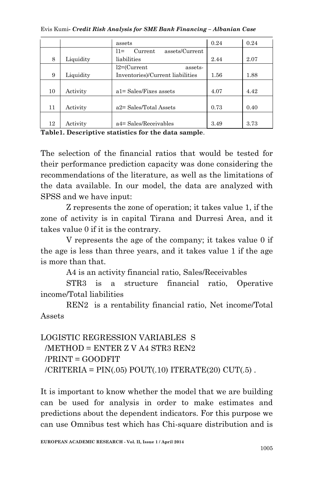Evis Kumi*- Credit Risk Analysis for SME Bank Financing – Albanian Case*

|    |           | assets                              | 0.24 | 0.24 |
|----|-----------|-------------------------------------|------|------|
|    |           | assets/Current<br>Current<br>$11 =$ |      |      |
| 8  | Liquidity | liabilities                         | 2.44 | 2.07 |
|    |           | $l2 = (Current$<br>assets-          |      |      |
| 9  | Liquidity | Inventories)/Current liabilities    | 1.56 | 1.88 |
|    |           |                                     |      |      |
| 10 | Activity  | $a1 = Sales/Fixes$ assets           | 4.07 | 4.42 |
|    |           |                                     |      |      |
| 11 | Activity  | a2= Sales/Total Assets              | 0.73 | 0.40 |
|    |           |                                     |      |      |
| 12 | Activity  | a4= Sales/Receivables               | 3.49 | 3.73 |

**Table1. Descriptive statistics for the data sample**.

The selection of the financial ratios that would be tested for their performance prediction capacity was done considering the recommendations of the literature, as well as the limitations of the data available. In our model, the data are analyzed with SPSS and we have input:

Z represents the zone of operation; it takes value 1, if the zone of activity is in capital Tirana and Durresi Area, and it takes value 0 if it is the contrary.

V represents the age of the company; it takes value 0 if the age is less than three years, and it takes value 1 if the age is more than that.

A4 is an activity financial ratio, Sales/Receivables

STR3 is a structure financial ratio, Operative income/Total liabilities

REN2 is a rentability financial ratio, Net income/Total Assets

# LOGISTIC REGRESSION VARIABLES S /METHOD = ENTER Z V A4 STR3 REN2 /PRINT = GOODFIT  $/CRITERIA = PIN(.05) POUT(.10) ITEMERATE(20) CUT(.5)$ .

It is important to know whether the model that we are building can be used for analysis in order to make estimates and predictions about the dependent indicators. For this purpose we can use Omnibus test which has Chi-square distribution and is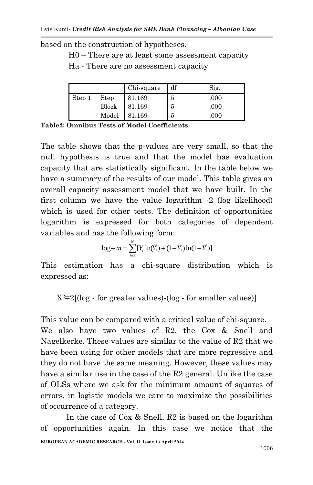based on the construction of hypotheses.

H0 – There are at least some assessment capacity

Ha - There are no assessment capacity

|        |       | Chi-square | df | Sig. |
|--------|-------|------------|----|------|
| Step 1 | Step  | 81.169     | 5  | .000 |
|        | Block | 81.169     | 5  | .000 |
|        | Model | 81.169     | 5  | .000 |

**Table2: Omnibus Tests of Model Coefficients**

The table shows that the p-values are very small, so that the null hypothesis is true and that the model has evaluation capacity that are statistically significant. In the table below we have a summary of the results of our model. This table gives an overall capacity assessment model that we have built. In the first column we have the value logarithm -2 (log likelihood) which is used for other tests. The definition of opportunities logarithm is expressed for both categories of dependent variables and has the following form:

$$
\log - m = \sum_{i=1}^{N} [Y_i \ln(\hat{Y}_i) + (1 - Y_i) \ln(1 - \hat{Y}_i)]
$$

This estimation has a chi-square distribution which is expressed as:

 $X^2=2[(\log - \text{for greater values})-(\log - \text{for smaller values})]$ 

This value can be compared with a critical value of chi-square. We also have two values of R2, the Cox & Snell and Nagelkerke. These values are similar to the value of R2 that we have been using for other models that are more regressive and they do not have the same meaning. However, these values may have a similar use in the case of the R2 general. Unlike the case of OLSs where we ask for the minimum amount of squares of errors, in logistic models we care to maximize the possibilities of occurrence of a category.

**EUROPEAN ACADEMIC RESEARCH - Vol. II, Issue 1 / April 2014** In the case of Cox & Snell, R2 is based on the logarithm of opportunities again. In this case we notice that the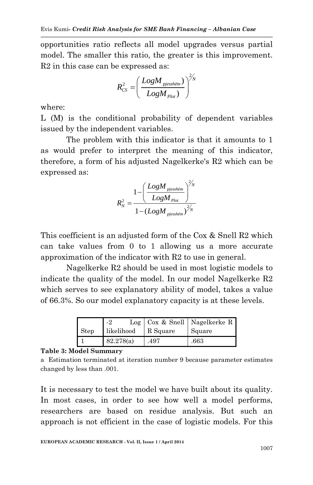opportunities ratio reflects all model upgrades versus partial model. The smaller this ratio, the greater is this improvement. R2 in this case can be expressed as:

$$
R_{CS}^2 = \left(\frac{LogM_{pjessh\ddot{e}m})}{LogM_{Plot}}\right)^{2\text{/}N}
$$

where:

L (M) is the conditional probability of dependent variables issued by the independent variables.

The problem with this indicator is that it amounts to 1 as would prefer to interpret the meaning of this indicator, therefore, a form of his adjusted Nagelkerke's R2 which can be expressed as:

$$
R_N^2 = \frac{1 - \left(\frac{LogM_{pjessh\ddot{e}m}}{LogM_{plot}}\right)^{2/N}}{1 - \left(LogM_{pjessh\ddot{e}m}\right)^{2/N}}
$$

This coefficient is an adjusted form of the Cox & Snell R2 which can take values from 0 to 1 allowing us a more accurate approximation of the indicator with R2 to use in general.

Nagelkerke R2 should be used in most logistic models to indicate the quality of the model. In our model Nagelkerke R2 which serves to see explanatory ability of model, takes a value of 66.3%. So our model explanatory capacity is at these levels.

|             | Log        |          | Cox & Snell   Nagelkerke R |
|-------------|------------|----------|----------------------------|
| <b>Step</b> | likelihood | R Square | Square                     |
|             | 82.278(a)  | .497     | .663                       |

#### **Table 3: Model Summary**

a Estimation terminated at iteration number 9 because parameter estimates changed by less than .001.

It is necessary to test the model we have built about its quality. In most cases, in order to see how well a model performs, researchers are based on residue analysis. But such an approach is not efficient in the case of logistic models. For this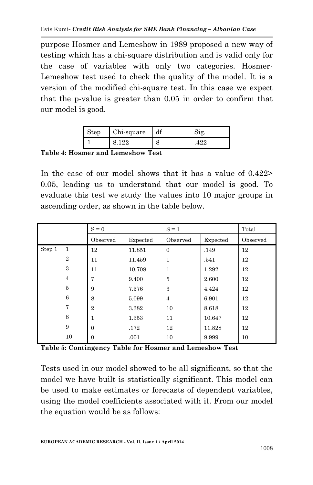purpose Hosmer and Lemeshow in 1989 proposed a new way of testing which has a chi-square distribution and is valid only for the case of variables with only two categories. Hosmer-Lemeshow test used to check the quality of the model. It is a version of the modified chi-square test. In this case we expect that the p-value is greater than 0.05 in order to confirm that our model is good.

| Step | Chi-square |  |
|------|------------|--|
|      |            |  |

**Table 4: Hosmer and Lemeshow Test**

In the case of our model shows that it has a value of 0.422> 0.05, leading us to understand that our model is good. To evaluate this test we study the values into 10 major groups in ascending order, as shown in the table below.

|        |                | $S = 0$        |          | $S = 1$        |          | Total    |
|--------|----------------|----------------|----------|----------------|----------|----------|
|        |                | Observed       | Expected | Observed       | Expected | Observed |
| Step 1 | 1              | 12             | 11.851   | $\theta$       | .149     | 12       |
|        | $\mathbf{2}$   | 11             | 11.459   | $\mathbf{1}$   | .541     | 12       |
|        | 3              | 11             | 10.708   | 1              | 1.292    | 12       |
|        | $\overline{4}$ | 7              | 9.400    | 5              | 2.600    | 12       |
|        | $\bf 5$        | 9              | 7.576    | 3              | 4.424    | 12       |
|        | 6              | 8              | 5.099    | $\overline{4}$ | 6.901    | 12       |
|        | 7              | $\overline{2}$ | 3.382    | 10             | 8.618    | 12       |
|        | 8              | 1              | 1.353    | 11             | 10.647   | 12       |
|        | 9              | $\mathbf{0}$   | .172     | 12             | 11.828   | 12       |
|        | 10             | $\mathbf{0}$   | .001     | 10             | 9.999    | 10       |

**Table 5: Contingency Table for Hosmer and Lemeshow Test**

Tests used in our model showed to be all significant, so that the model we have built is statistically significant. This model can be used to make estimates or forecasts of dependent variables, using the model coefficients associated with it. From our model the equation would be as follows: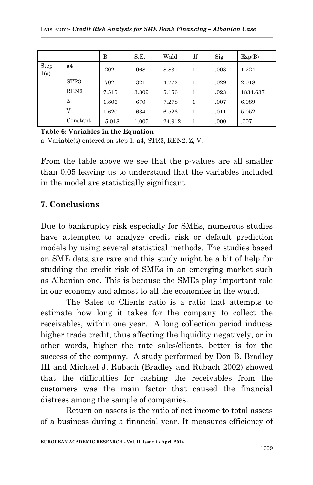|              |                  | в        | S.E.  | Wald   | df | Sig. | Exp(B)   |
|--------------|------------------|----------|-------|--------|----|------|----------|
| Step<br>1(a) | a4               | .202     | .068  | 8.831  | 1  | .003 | 1.224    |
|              | STR3             | .702     | .321  | 4.772  | 1  | .029 | 2.018    |
|              | REN <sub>2</sub> | 7.515    | 3.309 | 5.156  | 1  | .023 | 1834.637 |
|              | z                | 1.806    | .670  | 7.278  | 1  | .007 | 6.089    |
|              | V                | 1.620    | .634  | 6.526  | 1  | .011 | 5.052    |
|              | Constant         | $-5.018$ | 1.005 | 24.912 | 1  | .000 | .007     |

**Table 6: Variables in the Equation**

a Variable(s) entered on step 1: a4, STR3, REN2, Z, V.

From the table above we see that the p-values are all smaller than 0.05 leaving us to understand that the variables included in the model are statistically significant.

### **7. Conclusions**

Due to bankruptcy risk especially for SMEs, numerous studies have attempted to analyze credit risk or default prediction models by using several statistical methods. The studies based on SME data are rare and this study might be a bit of help for studding the credit risk of SMEs in an emerging market such as Albanian one. This is because the SMEs play important role in our economy and almost to all the economies in the world.

The Sales to Clients ratio is a ratio that attempts to estimate how long it takes for the company to collect the receivables, within one year. A long collection period induces higher trade credit, thus affecting the liquidity negatively, or in other words, higher the rate sales/clients, better is for the success of the company. A study performed by Don B. Bradley III and Michael J. Rubach (Bradley and Rubach 2002) showed that the difficulties for cashing the receivables from the customers was the main factor that caused the financial distress among the sample of companies.

Return on assets is the ratio of net income to total assets of a business during a financial year. It measures efficiency of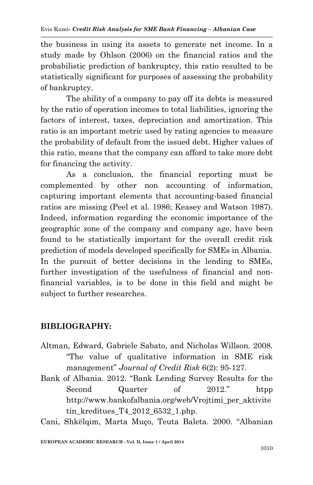the business in using its assets to generate net income. In a study made by Ohlson (2006) on the financial ratios and the probabilistic prediction of bankruptcy, this ratio resulted to be statistically significant for purposes of assessing the probability of bankruptcy.

The ability of a company to pay off its debts is measured by the ratio of operation incomes to total liabilities, ignoring the factors of interest, taxes, depreciation and amortization. This ratio is an important metric used by rating agencies to measure the probability of default from the issued debt. Higher values of this ratio, means that the company can afford to take more debt for financing the activity.

As a conclusion, the financial reporting must be complemented by other non accounting of information, capturing important elements that accounting-based financial ratios are missing (Peel et al. 1986; Keasey and Watson 1987). Indeed, information regarding the economic importance of the geographic zone of the company and company age, have been found to be statistically important for the overall credit risk prediction of models developed specifically for SMEs in Albania. In the pursuit of better decisions in the lending to SMEs, further investigation of the usefulness of financial and nonfinancial variables, is to be done in this field and might be subject to further researches.

### **BIBLIOGRAPHY:**

- Altman, Edward, Gabriele Sabato, and Nicholas Willson. 2008. "The value of qualitative information in SME risk management" *Journal of Credit Risk* 6(2): 95-127*.*
- Bank of Albania. 2012. "Bank Lending Survey Results for the Second Quarter of 2012." httpp: http://www.bankofalbania.org/web/Vrojtimi\_per\_aktivite tin\_kreditues\_T4\_2012\_6532\_1.php.

Cani, Shkëlqim, Marta Muço, Teuta Baleta. 2000. "Albanian